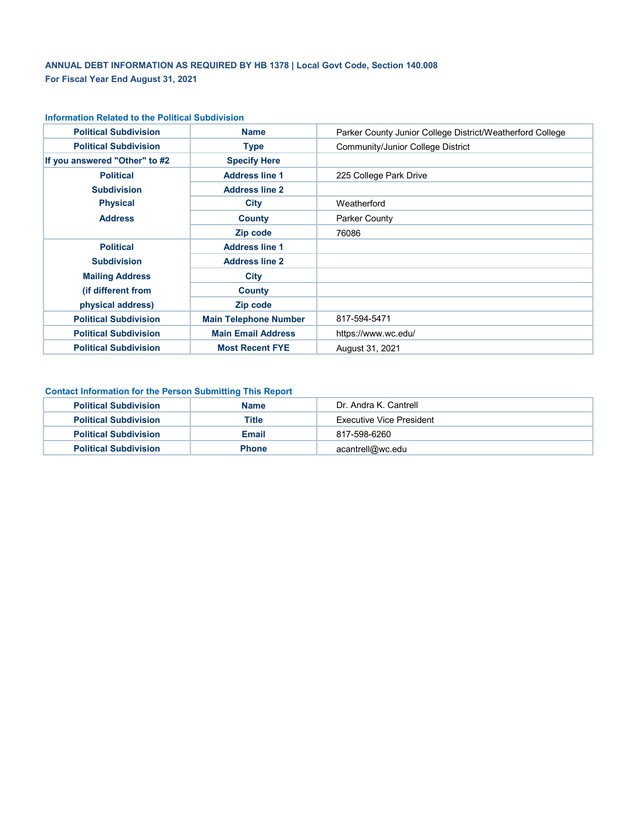# **ANNUAL DEBT INFORMATION AS REQUIRED BY HB 1378 | Local Govt Code, Section 140.008 For Fiscal Year End August 31, 2021**

| <b>Political Subdivision</b>    | <b>Name</b>                  | Parker County Junior College District/Weatherford College |
|---------------------------------|------------------------------|-----------------------------------------------------------|
| <b>Political Subdivision</b>    | Type                         | Community/Junior College District                         |
| If you answered "Other" to #2   | <b>Specify Here</b>          |                                                           |
| <b>Political</b>                | <b>Address line 1</b>        | 225 College Park Drive                                    |
| <b>Subdivision</b>              | <b>Address line 2</b>        |                                                           |
| <b>Physical</b>                 | City                         | Weatherford                                               |
| <b>Address</b><br><b>County</b> |                              | Parker County                                             |
|                                 | Zip code                     | 76086                                                     |
| <b>Political</b>                | <b>Address line 1</b>        |                                                           |
| <b>Subdivision</b>              | <b>Address line 2</b>        |                                                           |
| <b>Mailing Address</b>          | City                         |                                                           |
| (if different from              | County                       |                                                           |
| physical address)               | Zip code                     |                                                           |
| <b>Political Subdivision</b>    | <b>Main Telephone Number</b> | 817-594-5471                                              |
| <b>Political Subdivision</b>    | <b>Main Email Address</b>    | https://www.wc.edu/                                       |
| <b>Political Subdivision</b>    | <b>Most Recent FYE</b>       | August 31, 2021                                           |

#### **Information Related to the Political Subdivision**

### **Contact Information for the Person Submitting This Report**

| <b>Political Subdivision</b> | <b>Name</b>  | Dr. Andra K. Cantrell           |  |  |  |  |  |
|------------------------------|--------------|---------------------------------|--|--|--|--|--|
| <b>Political Subdivision</b> | Title        | <b>Executive Vice President</b> |  |  |  |  |  |
| <b>Political Subdivision</b> | Email        | 817-598-6260                    |  |  |  |  |  |
| <b>Political Subdivision</b> | <b>Phone</b> | acantrell@wc.edu                |  |  |  |  |  |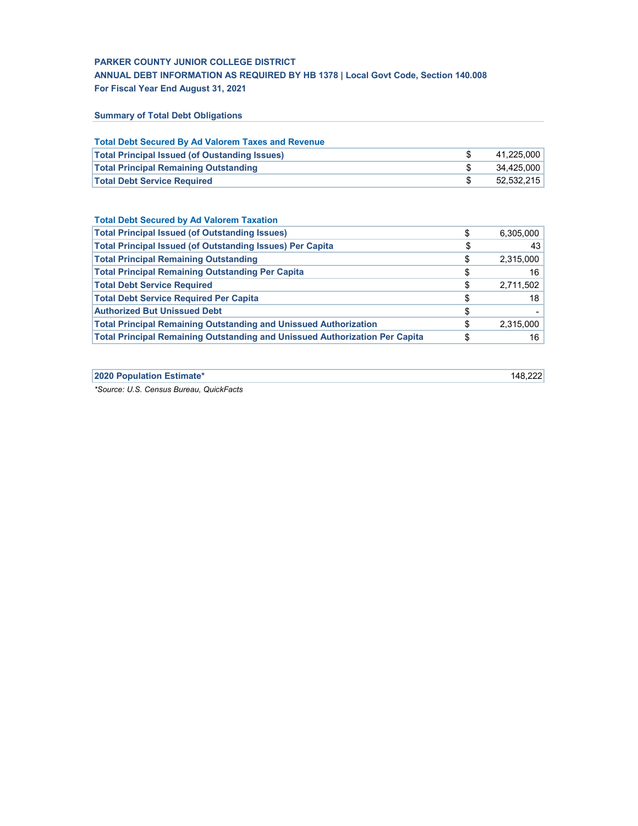## **For Fiscal Year End August 31, 2021 PARKER COUNTY JUNIOR COLLEGE DISTRICT ANNUAL DEBT INFORMATION AS REQUIRED BY HB 1378 | Local Govt Code, Section 140.008**

**Summary of Total Debt Obligations**

| <b>Total Debt Secured By Ad Valorem Taxes and Revenue</b> |            |
|-----------------------------------------------------------|------------|
| <b>Total Principal Issued (of Oustanding Issues)</b>      | 41.225.000 |
| <b>Total Principal Remaining Outstanding</b>              | 34.425.000 |
| <b>Total Debt Service Required</b>                        | 52.532.215 |

| <b>Total Debt Secured by Ad Valorem Taxation</b>                                   |                 |
|------------------------------------------------------------------------------------|-----------------|
| <b>Total Principal Issued (of Outstanding Issues)</b>                              | \$<br>6,305,000 |
| <b>Total Principal Issued (of Outstanding Issues) Per Capita</b>                   | \$<br>43        |
| <b>Total Principal Remaining Outstanding</b>                                       | \$<br>2,315,000 |
| <b>Total Principal Remaining Outstanding Per Capita</b>                            | \$<br>16        |
| <b>Total Debt Service Required</b>                                                 | \$<br>2,711,502 |
| <b>Total Debt Service Required Per Capita</b>                                      | \$<br>18        |
| <b>Authorized But Unissued Debt</b>                                                | \$              |
| <b>Total Principal Remaining Outstanding and Unissued Authorization</b>            | \$<br>2,315,000 |
| <b>Total Principal Remaining Outstanding and Unissued Authorization Per Capita</b> | \$<br>16        |

**2020 Population Estimate\*** 148,222

*\*Source: U.S. Census Bureau, QuickFacts*